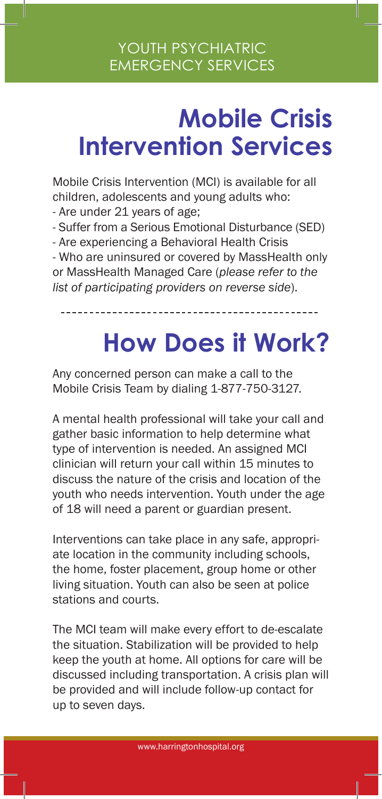## **Mobile Crisis Intervention Services**

Mobile Crisis Intervention (MCI) is available for all children, adolescents and young adults who: - Are under 21 years of age;

- Suffer from a Serious Emotional Disturbance (SED)

- Are experiencing a Behavioral Health Crisis

- Who are uninsured or covered by MassHealth only or MassHealth Managed Care (*please refer to the list of participating providers on reverse side*).

## **How Does it Work?**

Any concerned person can make a call to the Mobile Crisis Team by dialing 1-877-750-3127.

A mental health professional will take your call and gather basic information to help determine what type of intervention is needed. An assigned MCI clinician will return your call within 15 minutes to discuss the nature of the crisis and location of the youth who needs intervention. Youth under the age of 18 will need a parent or guardian present.

Interventions can take place in any safe, appropriate location in the community including schools, the home, foster placement, group home or other living situation. Youth can also be seen at police stations and courts.

The MCI team will make every effort to de-escalate the situation. Stabilization will be provided to help keep the youth at home. All options for care will be discussed including transportation. A crisis plan will be provided and will include follow-up contact for up to seven days.